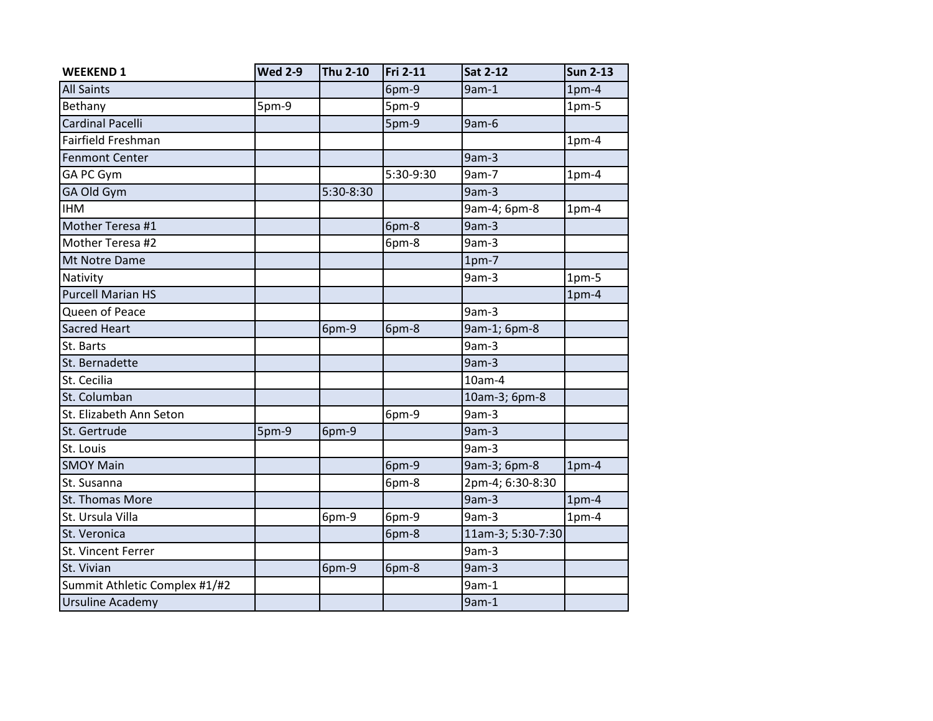| <b>WEEKEND 1</b>              | <b>Wed 2-9</b> | <b>Thu 2-10</b> | <b>Fri 2-11</b> | <b>Sat 2-12</b>   | <b>Sun 2-13</b> |
|-------------------------------|----------------|-----------------|-----------------|-------------------|-----------------|
| <b>All Saints</b>             |                |                 | 6pm-9           | $9am-1$           | $1pm-4$         |
| Bethany                       | 5pm-9          |                 | 5pm-9           |                   | $1pm-5$         |
| Cardinal Pacelli              |                |                 | 5pm-9           | 9am-6             |                 |
| Fairfield Freshman            |                |                 |                 |                   | $1pm-4$         |
| <b>Fenmont Center</b>         |                |                 |                 | 9am-3             |                 |
| GA PC Gym                     |                |                 | 5:30-9:30       | 9am-7             | $1pm-4$         |
| GA Old Gym                    |                | 5:30-8:30       |                 | 9am-3             |                 |
| <b>IHM</b>                    |                |                 |                 | 9am-4; 6pm-8      | $1pm-4$         |
| Mother Teresa #1              |                |                 | 6pm-8           | $9am-3$           |                 |
| Mother Teresa #2              |                |                 | 6pm-8           | 9am-3             |                 |
| Mt Notre Dame                 |                |                 |                 | $1pm-7$           |                 |
| Nativity                      |                |                 |                 | 9am-3             | $1pm-5$         |
| <b>Purcell Marian HS</b>      |                |                 |                 |                   | $1pm-4$         |
| Queen of Peace                |                |                 |                 | 9am-3             |                 |
| <b>Sacred Heart</b>           |                | 6pm-9           | 6pm-8           | 9am-1; 6pm-8      |                 |
| St. Barts                     |                |                 |                 | $9am-3$           |                 |
| St. Bernadette                |                |                 |                 | 9am-3             |                 |
| St. Cecilia                   |                |                 |                 | $10am-4$          |                 |
| St. Columban                  |                |                 |                 | 10am-3; 6pm-8     |                 |
| St. Elizabeth Ann Seton       |                |                 | 6pm-9           | 9am-3             |                 |
| St. Gertrude                  | 5pm-9          | 6pm-9           |                 | 9am-3             |                 |
| St. Louis                     |                |                 |                 | 9am-3             |                 |
| <b>SMOY Main</b>              |                |                 | 6pm-9           | 9am-3; 6pm-8      | $1pm-4$         |
| St. Susanna                   |                |                 | 6pm-8           | 2pm-4; 6:30-8:30  |                 |
| St. Thomas More               |                |                 |                 | 9am-3             | $1pm-4$         |
| St. Ursula Villa              |                | 6pm-9           | 6pm-9           | 9am-3             | $1pm-4$         |
| St. Veronica                  |                |                 | 6pm-8           | 11am-3; 5:30-7:30 |                 |
| St. Vincent Ferrer            |                |                 |                 | 9am-3             |                 |
| St. Vivian                    |                | 6pm-9           | 6pm-8           | $9am-3$           |                 |
| Summit Athletic Complex #1/#2 |                |                 |                 | $9am-1$           |                 |
| Ursuline Academy              |                |                 |                 | $9am-1$           |                 |